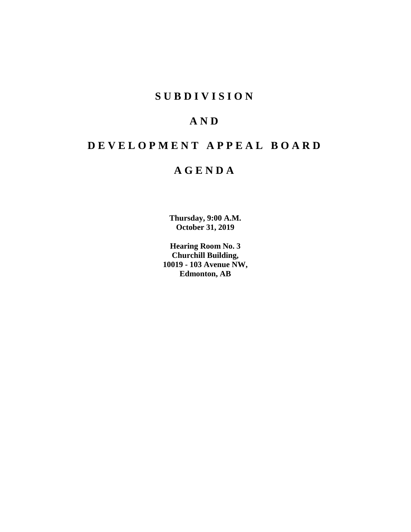# **SUBDIVISION**

# **AND**

# **DEVELOPMENT APPEAL BOARD**

# **AGENDA**

**Thursday, 9:00 A.M. October 31, 2019**

**Hearing Room No. 3 Churchill Building, 10019 - 103 Avenue NW, Edmonton, AB**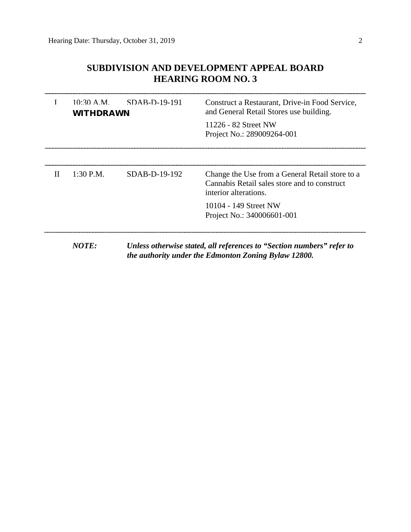# **SUBDIVISION AND DEVELOPMENT APPEAL BOARD HEARING ROOM NO. 3**

|   | $10:30$ A.M. SDAB-D-19-191<br><b>WITHDRAWN</b> |               | Construct a Restaurant, Drive-in Food Service,<br>and General Retail Stores use building.<br>11226 - 82 Street NW<br>Project No.: 289009264-001 |  |  |
|---|------------------------------------------------|---------------|-------------------------------------------------------------------------------------------------------------------------------------------------|--|--|
| H | $1:30$ P.M.                                    | SDAB-D-19-192 | Change the Use from a General Retail store to a<br>Cannabis Retail sales store and to construct<br>interior alterations.                        |  |  |
|   |                                                |               | 10104 - 149 Street NW<br>Project No.: 340006601-001                                                                                             |  |  |

*NOTE: Unless otherwise stated, all references to "Section numbers" refer to the authority under the Edmonton Zoning Bylaw 12800.*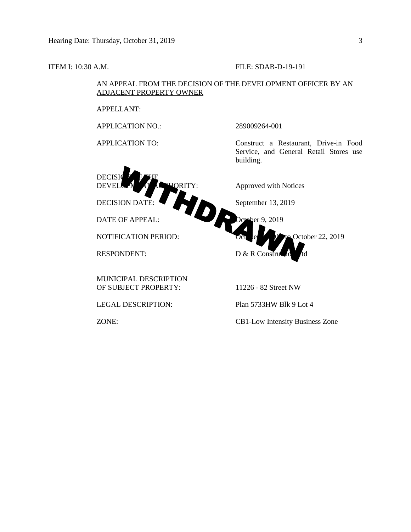APPELLANT:

ADJACENT PROPERTY OWNER



AN APPEAL FROM THE DECISION OF THE DEVELOPMENT OFFICER BY AN

ZONE: CB1-Low Intensity Business Zone

ITEM I: 10:30 A.M. FILE: SDAB-D-19-191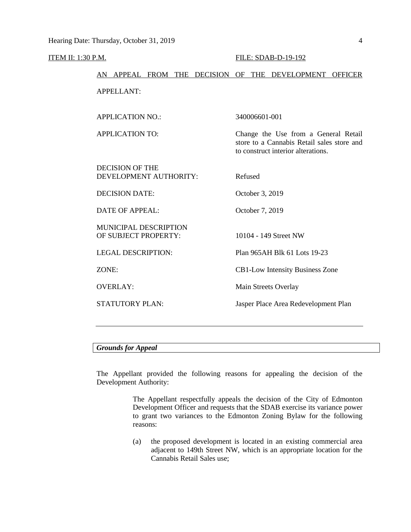## **ITEM II: 1:30 P.M. FILE: SDAB-D-19-192**

# AN APPEAL FROM THE DECISION OF THE DEVELOPMENT OFFICER APPELLANT:

| <b>APPLICATION NO.:</b>                              | 340006601-001                                                                                                            |
|------------------------------------------------------|--------------------------------------------------------------------------------------------------------------------------|
| <b>APPLICATION TO:</b>                               | Change the Use from a General Retail<br>store to a Cannabis Retail sales store and<br>to construct interior alterations. |
| DECISION OF THE<br>DEVELOPMENT AUTHORITY:            | Refused                                                                                                                  |
| <b>DECISION DATE:</b>                                | October 3, 2019                                                                                                          |
| DATE OF APPEAL:                                      | October 7, 2019                                                                                                          |
| <b>MUNICIPAL DESCRIPTION</b><br>OF SUBJECT PROPERTY: | 10104 - 149 Street NW                                                                                                    |
| <b>LEGAL DESCRIPTION:</b>                            | Plan 965AH Blk 61 Lots 19-23                                                                                             |
| ZONE:                                                | CB1-Low Intensity Business Zone                                                                                          |
| <b>OVERLAY:</b>                                      | Main Streets Overlay                                                                                                     |
| <b>STATUTORY PLAN:</b>                               | Jasper Place Area Redevelopment Plan                                                                                     |
|                                                      |                                                                                                                          |

## *Grounds for Appeal*

The Appellant provided the following reasons for appealing the decision of the Development Authority:

> The Appellant respectfully appeals the decision of the City of Edmonton Development Officer and requests that the SDAB exercise its variance power to grant two variances to the Edmonton Zoning Bylaw for the following reasons:

> (a) the proposed development is located in an existing commercial area adjacent to 149th Street NW, which is an appropriate location for the Cannabis Retail Sales use;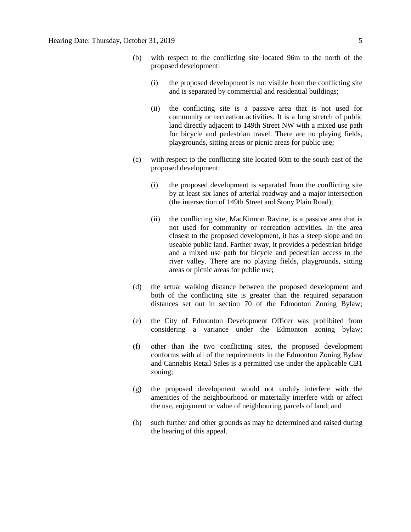- (b) with respect to the conflicting site located 96m to the north of the proposed development:
	- (i) the proposed development is not visible from the conflicting site and is separated by commercial and residential buildings;
	- (ii) the conflicting site is a passive area that is not used for community or recreation activities. It is a long stretch of public land directly adjacent to 149th Street NW with a mixed use path for bicycle and pedestrian travel. There are no playing fields, playgrounds, sitting areas or picnic areas for public use;
- (c) with respect to the conflicting site located 60m to the south-east of the proposed development:
	- (i) the proposed development is separated from the conflicting site by at least six lanes of arterial roadway and a major intersection (the intersection of 149th Street and Stony Plain Road);
	- (ii) the conflicting site, MacKinnon Ravine, is a passive area that is not used for community or recreation activities. In the area closest to the proposed development, it has a steep slope and no useable public land. Farther away, it provides a pedestrian bridge and a mixed use path for bicycle and pedestrian access to the river valley. There are no playing fields, playgrounds, sitting areas or picnic areas for public use;
- (d) the actual walking distance between the proposed development and both of the conflicting site is greater than the required separation distances set out in section 70 of the Edmonton Zoning Bylaw;
- (e) the City of Edmonton Development Officer was prohibited from considering a variance under the Edmonton zoning bylaw;
- (f) other than the two conflicting sites, the proposed development conforms with all of the requirements in the Edmonton Zoning Bylaw and Cannabis Retail Sales is a permitted use under the applicable CB1 zoning;
- (g) the proposed development would not unduly interfere with the amenities of the neighbourhood or materially interfere with or affect the use, enjoyment or value of neighbouring parcels of land; and
- (h) such further and other grounds as may be determined and raised during the hearing of this appeal.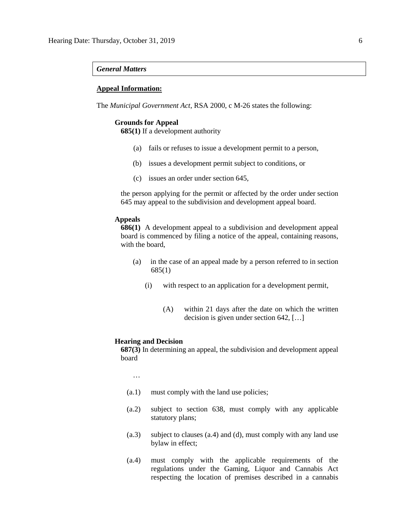#### *General Matters*

#### **Appeal Information:**

The *Municipal Government Act*, RSA 2000, c M-26 states the following:

#### **Grounds for Appeal**

**685(1)** If a development authority

- (a) fails or refuses to issue a development permit to a person,
- (b) issues a development permit subject to conditions, or
- (c) issues an order under section 645,

the person applying for the permit or affected by the order under section 645 may appeal to the subdivision and development appeal board.

#### **Appeals**

**686(1)** A development appeal to a subdivision and development appeal board is commenced by filing a notice of the appeal, containing reasons, with the board,

- (a) in the case of an appeal made by a person referred to in section 685(1)
	- (i) with respect to an application for a development permit,
		- (A) within 21 days after the date on which the written decision is given under section 642, […]

#### **Hearing and Decision**

**687(3)** In determining an appeal, the subdivision and development appeal board

…

- (a.1) must comply with the land use policies;
- (a.2) subject to section 638, must comply with any applicable statutory plans;
- (a.3) subject to clauses (a.4) and (d), must comply with any land use bylaw in effect;
- (a.4) must comply with the applicable requirements of the regulations under the Gaming, Liquor and Cannabis Act respecting the location of premises described in a cannabis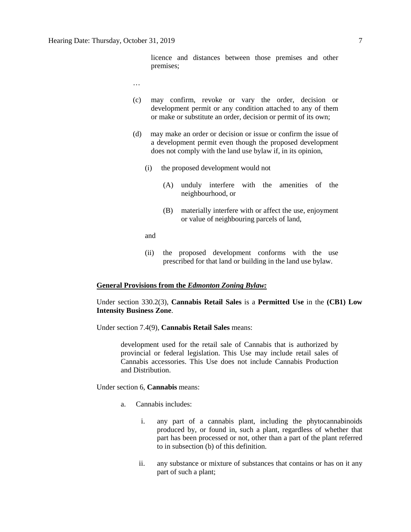licence and distances between those premises and other premises;

…

- (c) may confirm, revoke or vary the order, decision or development permit or any condition attached to any of them or make or substitute an order, decision or permit of its own;
- (d) may make an order or decision or issue or confirm the issue of a development permit even though the proposed development does not comply with the land use bylaw if, in its opinion,
	- (i) the proposed development would not
		- (A) unduly interfere with the amenities of the neighbourhood, or
		- (B) materially interfere with or affect the use, enjoyment or value of neighbouring parcels of land,

and

(ii) the proposed development conforms with the use prescribed for that land or building in the land use bylaw.

#### **General Provisions from the** *Edmonton Zoning Bylaw:*

Under section 330.2(3), **Cannabis Retail Sales** is a **Permitted Use** in the **(CB1) Low Intensity Business Zone**.

Under section 7.4(9), **Cannabis Retail Sales** means:

development used for the retail sale of Cannabis that is authorized by provincial or federal legislation. This Use may include retail sales of Cannabis accessories. This Use does not include Cannabis Production and Distribution.

Under section 6, **Cannabis** means:

- a. Cannabis includes:
	- i. any part of a cannabis plant, including the phytocannabinoids produced by, or found in, such a plant, regardless of whether that part has been processed or not, other than a part of the plant referred to in subsection (b) of this definition.
	- ii. any substance or mixture of substances that contains or has on it any part of such a plant;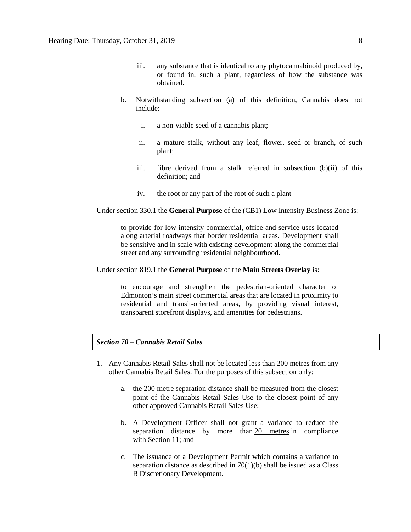- iii. any substance that is identical to any phytocannabinoid produced by, or found in, such a plant, regardless of how the substance was obtained.
- b. Notwithstanding subsection (a) of this definition, Cannabis does not include:
	- i. a non-viable seed of a cannabis plant;
	- ii. a mature stalk, without any leaf, flower, seed or branch, of such plant;
	- iii. fibre derived from a stalk referred in subsection (b)(ii) of this definition; and
	- iv. the root or any part of the root of such a plant

Under section 330.1 the **General Purpose** of the (CB1) Low Intensity Business Zone is:

to provide for low intensity commercial, office and service uses located along arterial roadways that border residential areas. Development shall be sensitive and in scale with existing development along the commercial street and any surrounding residential neighbourhood.

Under section 819.1 the **General Purpose** of the **Main Streets Overlay** is:

to encourage and strengthen the pedestrian-oriented character of Edmonton's main street commercial areas that are located in proximity to residential and transit-oriented areas, by providing visual interest, transparent storefront displays, and amenities for pedestrians.

## *Section 70 – Cannabis Retail Sales*

- 1. Any Cannabis Retail Sales shall not be located less than 200 metres from any other Cannabis Retail Sales. For the purposes of this subsection only:
	- a. the 200 metre separation distance shall be measured from the closest point of the Cannabis Retail Sales Use to the closest point of any other approved Cannabis Retail Sales Use;
	- b. A Development Officer shall not grant a variance to reduce the separation distance by more than 20 metres in compliance with Section 11; and
	- c. The issuance of a Development Permit which contains a variance to separation distance as described in 70(1)(b) shall be issued as a Class B Discretionary Development.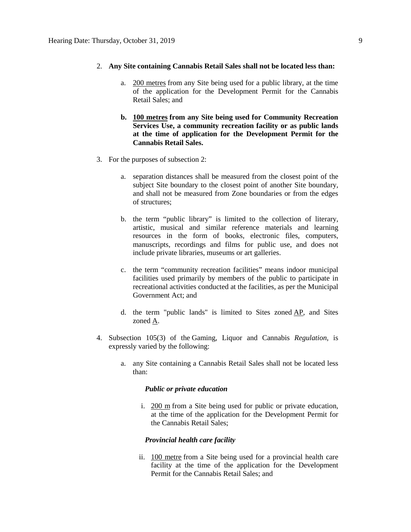## 2. **Any Site containing Cannabis Retail Sales shall not be located less than:**

- a. 200 metres from any Site being used for a public library, at the time of the application for the Development Permit for the Cannabis Retail Sales; and
- **b. 100 metres from any Site being used for Community Recreation Services Use, a community recreation facility or as public lands at the time of application for the Development Permit for the Cannabis Retail Sales.**
- 3. For the purposes of subsection 2:
	- a. separation distances shall be measured from the closest point of the subject Site boundary to the closest point of another Site boundary, and shall not be measured from Zone boundaries or from the edges of structures;
	- b. the term "public library" is limited to the collection of literary, artistic, musical and similar reference materials and learning resources in the form of books, electronic files, computers, manuscripts, recordings and films for public use, and does not include private libraries, museums or art galleries.
	- c. the term "community recreation facilities" means indoor municipal facilities used primarily by members of the public to participate in recreational activities conducted at the facilities, as per the Municipal Government Act; and
	- d. the term "public lands" is limited to Sites zoned  $AP$ , and Sites zoned A.
- 4. Subsection 105(3) of the Gaming, Liquor and Cannabis *Regulation*, is expressly varied by the following:
	- a. any Site containing a Cannabis Retail Sales shall not be located less than:

#### *Public or private education*

i. [200 m](javascript:void(0);) from a Site being used for public or private education, at the time of the application for the Development Permit for the Cannabis Retail Sales;

### *Provincial health care facility*

ii. 100 metre from a Site being used for a provincial health care facility at the time of the application for the Development Permit for the Cannabis Retail Sales; and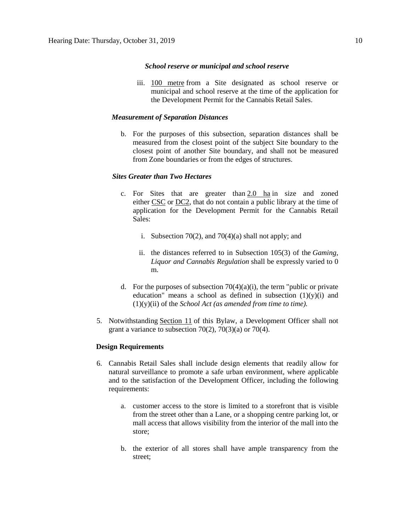#### *School reserve or municipal and school reserve*

iii. 100 metre from a Site designated as school reserve or municipal and school reserve at the time of the application for the Development Permit for the Cannabis Retail Sales.

### *Measurement of Separation Distances*

b. For the purposes of this subsection, separation distances shall be measured from the closest point of the subject Site boundary to the closest point of another Site boundary, and shall not be measured from Zone boundaries or from the edges of structures.

## *Sites Greater than Two Hectares*

- c. For Sites that are greater than  $2.0$  ha in size and zoned either CSC or DC2, that do not contain a public library at the time of application for the Development Permit for the Cannabis Retail Sales:
	- i. Subsection 70(2), and 70(4)(a) shall not apply; and
	- ii. the distances referred to in Subsection 105(3) of the *Gaming, Liquor and Cannabis Regulation* shall be expressly varied to 0 m.
- d. For the purposes of subsection  $70(4)(a)(i)$ , the term "public or private" education" means a school as defined in subsection  $(1)(y)(i)$  and (1)(y)(ii) of the *School Act (as amended from time to time).*
- 5. Notwithstanding Section 11 of this Bylaw, a Development Officer shall not grant a variance to subsection 70(2), 70(3)(a) or 70(4).

### **Design Requirements**

- 6. Cannabis Retail Sales shall include design elements that readily allow for natural surveillance to promote a safe urban environment, where applicable and to the satisfaction of the Development Officer, including the following requirements:
	- a. customer access to the store is limited to a storefront that is visible from the street other than a Lane, or a shopping centre parking lot, or mall access that allows visibility from the interior of the mall into the store;
	- b. the exterior of all stores shall have ample transparency from the street;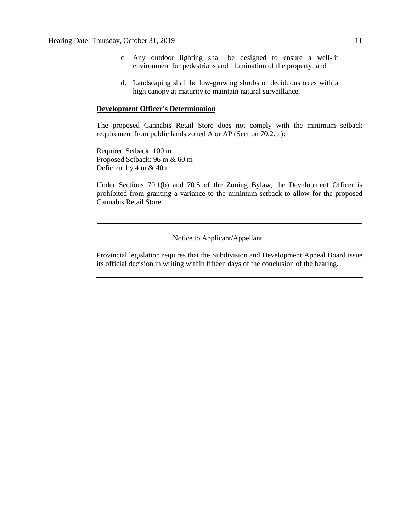- c. Any outdoor lighting shall be designed to ensure a well-lit environment for pedestrians and illumination of the property; and
- d. Landscaping shall be low-growing shrubs or deciduous trees with a high canopy at maturity to maintain natural surveillance.

#### **Development Officer's Determination**

The proposed Cannabis Retail Store does not comply with the minimum setback requirement from public lands zoned A or AP (Section 70.2.b.):

Required Setback: 100 m Proposed Setback: 96 m & 60 m Deficient by 4 m & 40 m

Under Sections 70.1(b) and 70.5 of the Zoning Bylaw, the Development Officer is prohibited from granting a variance to the minimum setback to allow for the proposed Cannabis Retail Store.

## Notice to Applicant/Appellant

Provincial legislation requires that the Subdivision and Development Appeal Board issue its official decision in writing within fifteen days of the conclusion of the hearing.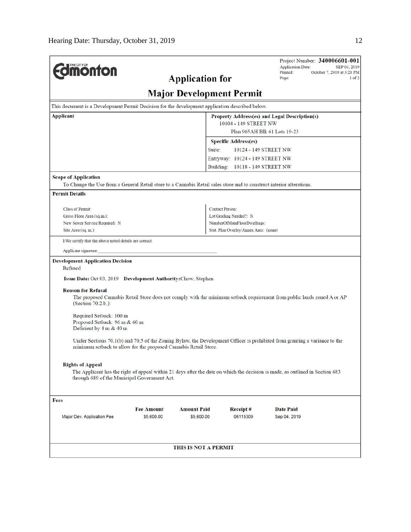| <b>Umönton</b>                                                                                                                                                                                                                                                                                                                                                                                                         |                                 | <b>Application for</b>           |                                                                    | Project Number: 340006601-001<br><b>Application Date:</b><br>SEP 03, 2019<br>Printed:<br>October 7, 2019 at 3:28 PM<br>$1$ of $2$<br>Page:                                                                                                                                                                                                                                             |  |  |  |  |  |
|------------------------------------------------------------------------------------------------------------------------------------------------------------------------------------------------------------------------------------------------------------------------------------------------------------------------------------------------------------------------------------------------------------------------|---------------------------------|----------------------------------|--------------------------------------------------------------------|----------------------------------------------------------------------------------------------------------------------------------------------------------------------------------------------------------------------------------------------------------------------------------------------------------------------------------------------------------------------------------------|--|--|--|--|--|
| <b>Major Development Permit</b>                                                                                                                                                                                                                                                                                                                                                                                        |                                 |                                  |                                                                    |                                                                                                                                                                                                                                                                                                                                                                                        |  |  |  |  |  |
| This document is a Development Permit Decision for the development application described below.                                                                                                                                                                                                                                                                                                                        |                                 |                                  |                                                                    |                                                                                                                                                                                                                                                                                                                                                                                        |  |  |  |  |  |
| <b>Applicant</b><br>Property Address(es) and Legal Description(s)                                                                                                                                                                                                                                                                                                                                                      |                                 |                                  |                                                                    |                                                                                                                                                                                                                                                                                                                                                                                        |  |  |  |  |  |
|                                                                                                                                                                                                                                                                                                                                                                                                                        |                                 |                                  | 10104 - 149 STREET NW<br>Plan 965AH Blk 61 Lots 19-23              |                                                                                                                                                                                                                                                                                                                                                                                        |  |  |  |  |  |
|                                                                                                                                                                                                                                                                                                                                                                                                                        |                                 |                                  |                                                                    |                                                                                                                                                                                                                                                                                                                                                                                        |  |  |  |  |  |
|                                                                                                                                                                                                                                                                                                                                                                                                                        |                                 |                                  | <b>Specific Address(es)</b>                                        |                                                                                                                                                                                                                                                                                                                                                                                        |  |  |  |  |  |
|                                                                                                                                                                                                                                                                                                                                                                                                                        |                                 | Suite:                           | 10124 - 149 STREET NW                                              |                                                                                                                                                                                                                                                                                                                                                                                        |  |  |  |  |  |
|                                                                                                                                                                                                                                                                                                                                                                                                                        |                                 |                                  | Entryway: 10124 - 149 STREET NW<br>Building: 10118 - 149 STREET NW |                                                                                                                                                                                                                                                                                                                                                                                        |  |  |  |  |  |
|                                                                                                                                                                                                                                                                                                                                                                                                                        |                                 |                                  |                                                                    |                                                                                                                                                                                                                                                                                                                                                                                        |  |  |  |  |  |
| <b>Scope of Application</b><br>To Change the Use from a General Retail store to a Cannabis Retail sales store and to construct interior alterations.                                                                                                                                                                                                                                                                   |                                 |                                  |                                                                    |                                                                                                                                                                                                                                                                                                                                                                                        |  |  |  |  |  |
| <b>Permit Details</b>                                                                                                                                                                                                                                                                                                                                                                                                  |                                 |                                  |                                                                    |                                                                                                                                                                                                                                                                                                                                                                                        |  |  |  |  |  |
|                                                                                                                                                                                                                                                                                                                                                                                                                        |                                 |                                  |                                                                    |                                                                                                                                                                                                                                                                                                                                                                                        |  |  |  |  |  |
| <b>Class of Permit:</b><br>Gross Floor Area (sq.m.):                                                                                                                                                                                                                                                                                                                                                                   |                                 |                                  | <b>Contact Person:</b>                                             |                                                                                                                                                                                                                                                                                                                                                                                        |  |  |  |  |  |
| New Sewer Service Required: N                                                                                                                                                                                                                                                                                                                                                                                          |                                 |                                  | Lot Grading Needed?: N<br>NumberOfMainFloorDwellings:              |                                                                                                                                                                                                                                                                                                                                                                                        |  |  |  |  |  |
| Site Area (sq. m.):                                                                                                                                                                                                                                                                                                                                                                                                    |                                 |                                  | Stat. Plan Overlay/Annex Area: (none)                              |                                                                                                                                                                                                                                                                                                                                                                                        |  |  |  |  |  |
| I/We certify that the above noted details are correct.                                                                                                                                                                                                                                                                                                                                                                 |                                 |                                  |                                                                    |                                                                                                                                                                                                                                                                                                                                                                                        |  |  |  |  |  |
| Applicant signature:                                                                                                                                                                                                                                                                                                                                                                                                   |                                 |                                  |                                                                    |                                                                                                                                                                                                                                                                                                                                                                                        |  |  |  |  |  |
| <b>Development Application Decision</b><br>Refused<br><b>Issue Date: Oct 03, 2019 Development Authority: Chow, Stephen</b><br><b>Reason for Refusal</b><br>$(Section 70.2.b.)$ :<br>Required Setback: 100 m<br>Proposed Setback: 96 m & 60 m<br>Deficient by 4 m & 40 m<br>minimum setback to allow for the proposed Cannabis Retail Store.<br><b>Rights of Appeal</b><br>through 689 of the Municipal Government Act. |                                 |                                  |                                                                    | The proposed Cannabis Retail Store does not comply with the minimum setback requirement from public lands zoned A or AP<br>Under Sections 70.1(b) and 70.5 of the Zoning Bylaw, the Development Officer is prohibited from granting a variance to the<br>The Applicant has the right of appeal within 21 days after the date on which the decision is made, as outlined in Section 683 |  |  |  |  |  |
| Fees<br>Major Dev. Application Fee                                                                                                                                                                                                                                                                                                                                                                                     | <b>Fee Amount</b><br>\$5,600.00 | <b>Amount Paid</b><br>\$5,600.00 | Receipt#<br>06115309                                               | <b>Date Paid</b><br>Sep 04, 2019                                                                                                                                                                                                                                                                                                                                                       |  |  |  |  |  |
|                                                                                                                                                                                                                                                                                                                                                                                                                        |                                 | THIS IS NOT A PERMIT             |                                                                    |                                                                                                                                                                                                                                                                                                                                                                                        |  |  |  |  |  |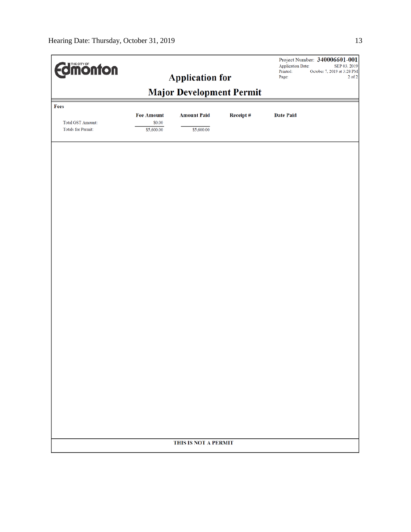| <b>Umonton</b>                                        |                      | <b>Application for</b>                                |          | Project Number: 340006601-001<br><b>Application Date:</b><br>SEP 03, 2019<br>Printed:<br>October 7, 2019 at 3:28 PM<br>$2$ of $2\,$<br>Page: |  |  |  |
|-------------------------------------------------------|----------------------|-------------------------------------------------------|----------|----------------------------------------------------------------------------------------------------------------------------------------------|--|--|--|
|                                                       |                      |                                                       |          |                                                                                                                                              |  |  |  |
| Fees                                                  | <b>Fee Amount</b>    | <b>Major Development Permit</b><br><b>Amount Paid</b> | Receipt# | <b>Date Paid</b>                                                                                                                             |  |  |  |
| <b>Total GST Amount:</b><br><b>Totals for Permit:</b> | \$0.00<br>\$5,600.00 | \$5,600.00                                            |          |                                                                                                                                              |  |  |  |
|                                                       |                      |                                                       |          |                                                                                                                                              |  |  |  |
|                                                       |                      |                                                       |          |                                                                                                                                              |  |  |  |
|                                                       |                      |                                                       |          |                                                                                                                                              |  |  |  |
|                                                       |                      |                                                       |          |                                                                                                                                              |  |  |  |
|                                                       |                      |                                                       |          |                                                                                                                                              |  |  |  |
|                                                       |                      |                                                       |          |                                                                                                                                              |  |  |  |
|                                                       |                      |                                                       |          |                                                                                                                                              |  |  |  |
|                                                       |                      |                                                       |          |                                                                                                                                              |  |  |  |
|                                                       |                      |                                                       |          |                                                                                                                                              |  |  |  |
|                                                       |                      |                                                       |          |                                                                                                                                              |  |  |  |
|                                                       |                      |                                                       |          |                                                                                                                                              |  |  |  |
|                                                       |                      |                                                       |          |                                                                                                                                              |  |  |  |
|                                                       |                      |                                                       |          |                                                                                                                                              |  |  |  |
|                                                       |                      |                                                       |          |                                                                                                                                              |  |  |  |
|                                                       |                      |                                                       |          |                                                                                                                                              |  |  |  |
|                                                       | THIS IS NOT A PERMIT |                                                       |          |                                                                                                                                              |  |  |  |